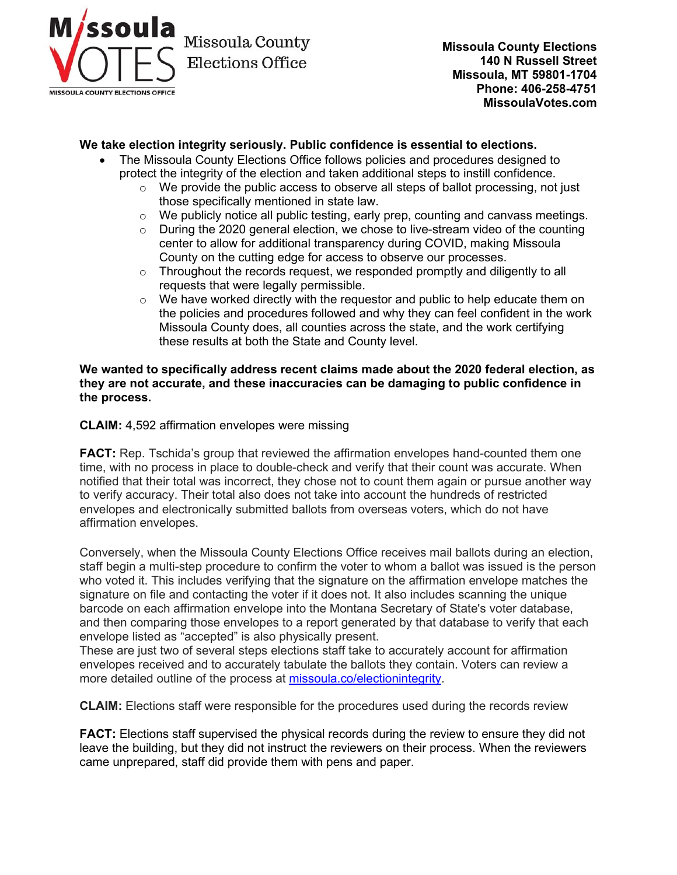

## **We take election integrity seriously. Public confidence is essential to elections.**

- The Missoula County Elections Office follows policies and procedures designed to protect the integrity of the election and taken additional steps to instill confidence.
	- $\circ$  We provide the public access to observe all steps of ballot processing, not just those specifically mentioned in state law.
	- $\circ$  We publicly notice all public testing, early prep, counting and canvass meetings.<br> $\circ$  During the 2020 general election, we chose to live-stream video of the counting
	- During the 2020 general election, we chose to live-stream video of the counting center to allow for additional transparency during COVID, making Missoula County on the cutting edge for access to observe our processes.
	- o Throughout the records request, we responded promptly and diligently to all requests that were legally permissible.
	- $\circ$  We have worked directly with the requestor and public to help educate them on the policies and procedures followed and why they can feel confident in the work Missoula County does, all counties across the state, and the work certifying these results at both the State and County level.

## **We wanted to specifically address recent claims made about the 2020 federal election, as they are not accurate, and these inaccuracies can be damaging to public confidence in the process.**

**CLAIM:** 4,592 affirmation envelopes were missing

**FACT:** Rep. Tschida's group that reviewed the affirmation envelopes hand-counted them one time, with no process in place to double-check and verify that their count was accurate. When notified that their total was incorrect, they chose not to count them again or pursue another way to verify accuracy. Their total also does not take into account the hundreds of restricted envelopes and electronically submitted ballots from overseas voters, which do not have affirmation envelopes.

Conversely, when the Missoula County Elections Office receives mail ballots during an election, staff begin a multi-step procedure to confirm the voter to whom a ballot was issued is the person who voted it. This includes verifying that the signature on the affirmation envelope matches the signature on file and contacting the voter if it does not. It also includes scanning the unique barcode on each affirmation envelope into the Montana Secretary of State's voter database, and then comparing those envelopes to a report generated by that database to verify that each envelope listed as "accepted" is also physically present.

These are just two of several steps elections staff take to accurately account for affirmation envelopes received and to accurately tabulate the ballots they contain. Voters can review a more detailed outline of the process at [missoula.co/electionintegrity.](https://www.missoulacounty.us/government/administration/elections-office/how-missoula-county-ensures-election-integrity)

**CLAIM:** Elections staff were responsible for the procedures used during the records review

**FACT:** Elections staff supervised the physical records during the review to ensure they did not leave the building, but they did not instruct the reviewers on their process. When the reviewers came unprepared, staff did provide them with pens and paper.